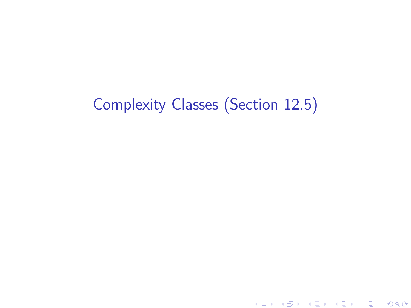## Complexity Classes (Section 12.5)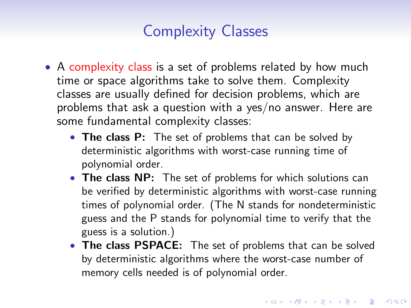## Complexity Classes

- A complexity class is a set of problems related by how much time or space algorithms take to solve them. Complexity classes are usually defined for decision problems, which are problems that ask a question with a yes/no answer. Here are some fundamental complexity classes:
	- The class P: The set of problems that can be solved by deterministic algorithms with worst-case running time of polynomial order.
	- The class NP: The set of problems for which solutions can be verified by deterministic algorithms with worst-case running times of polynomial order. (The N stands for nondeterministic guess and the P stands for polynomial time to verify that the guess is a solution.)
	- The class PSPACE: The set of problems that can be solved by deterministic algorithms where the worst-case number of memory cells needed is of polynomial order.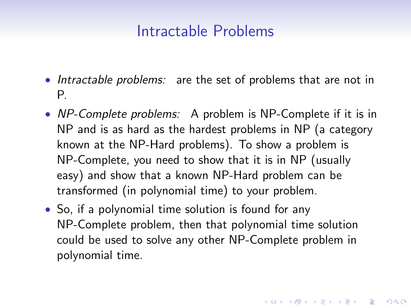## Intractable Problems

- Intractable problems: are the set of problems that are not in P.
- NP-Complete problems: A problem is NP-Complete if it is in NP and is as hard as the hardest problems in NP (a category known at the NP-Hard problems). To show a problem is NP-Complete, you need to show that it is in NP (usually easy) and show that a known NP-Hard problem can be transformed (in polynomial time) to your problem.
- So, if a polynomial time solution is found for any NP-Complete problem, then that polynomial time solution could be used to solve any other NP-Complete problem in polynomial time.

KID KA KERKER KID KO